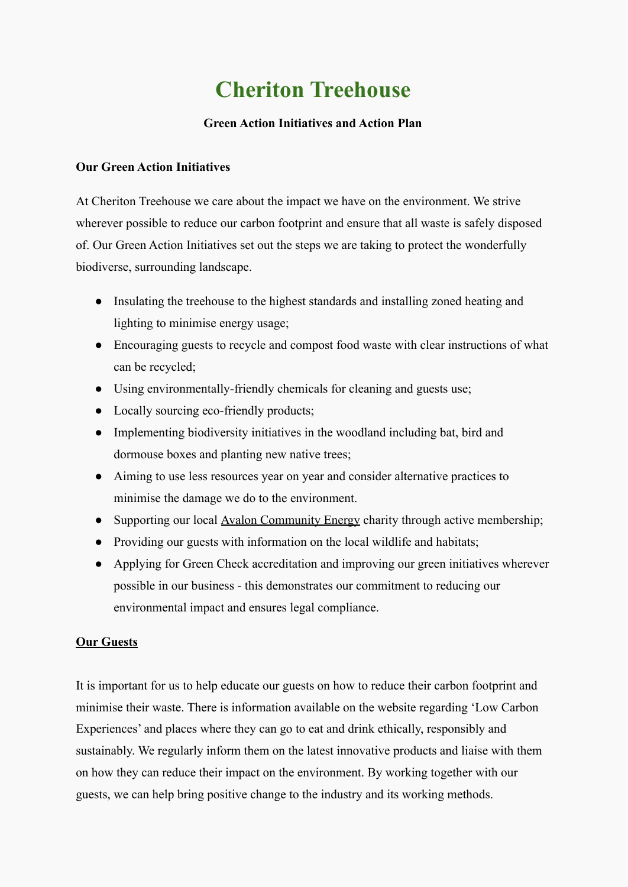# **Cheriton Treehouse**

## **Green Action Initiatives and Action Plan**

### **Our Green Action Initiatives**

At Cheriton Treehouse we care about the impact we have on the environment. We strive wherever possible to reduce our carbon footprint and ensure that all waste is safely disposed of. Our Green Action Initiatives set out the steps we are taking to protect the wonderfully biodiverse, surrounding landscape.

- Insulating the treehouse to the highest standards and installing zoned heating and lighting to minimise energy usage;
- Encouraging guests to recycle and compost food waste with clear instructions of what can be recycled;
- Using environmentally-friendly chemicals for cleaning and guests use;
- Locally sourcing eco-friendly products;
- Implementing biodiversity initiatives in the woodland including bat, bird and dormouse boxes and planting new native trees;
- Aiming to use less resources year on year and consider alternative practices to minimise the damage we do to the environment.
- Supporting our local <u>Avalon Community Energy</u> charity through active membership;
- Providing our guests with information on the local wildlife and habitats;
- Applying for Green Check accreditation and improving our green initiatives wherever possible in our business - this demonstrates our commitment to reducing our environmental impact and ensures legal compliance.

### **Our Guests**

It is important for us to help educate our guests on how to reduce their carbon footprint and minimise their waste. There is information available on the website regarding 'Low Carbon Experiences' and places where they can go to eat and drink ethically, responsibly and sustainably. We regularly inform them on the latest innovative products and liaise with them on how they can reduce their impact on the environment. By working together with our guests, we can help bring positive change to the industry and its working methods.